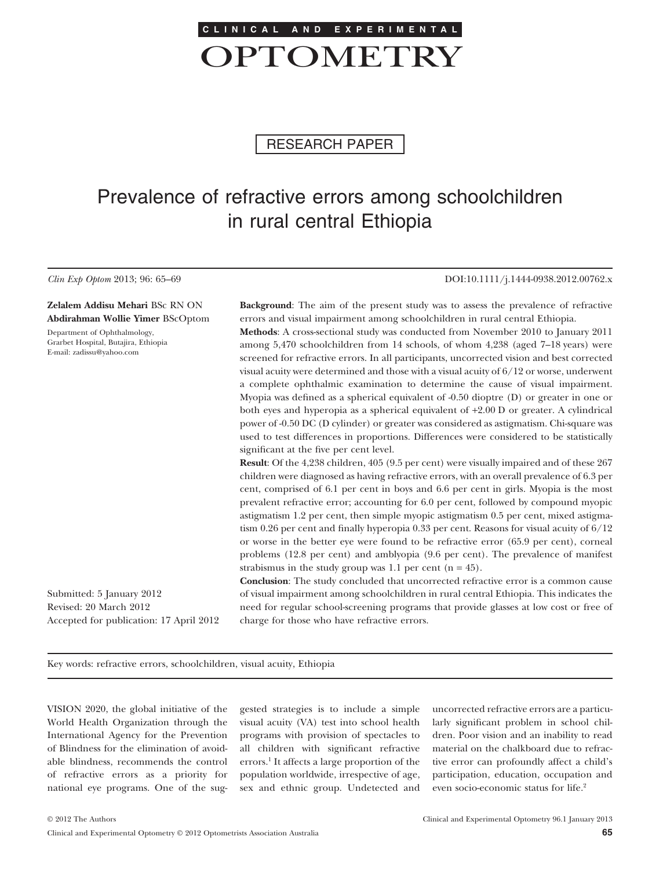

RESEARCH PAPER

# Prevalence of refractive errors among schoolchildren in rural central Ethiopia

*Clin Exp Optom* 2013; 96: 65–69 DOI:10.1111/j.1444-0938.2012.00762.x

**Zelalem Addisu Mehari** BSc RN ON **Abdirahman Wollie Yimer** BScOptom

Department of Ophthalmology, Grarbet Hospital, Butajira, Ethiopia E-mail: zadissu@yahoo.com

**Background**: The aim of the present study was to assess the prevalence of refractive errors and visual impairment among schoolchildren in rural central Ethiopia.

**Methods**: A cross-sectional study was conducted from November 2010 to January 2011 among 5,470 schoolchildren from 14 schools, of whom 4,238 (aged 7–18 years) were screened for refractive errors. In all participants, uncorrected vision and best corrected visual acuity were determined and those with a visual acuity of 6/12 or worse, underwent a complete ophthalmic examination to determine the cause of visual impairment. Myopia was defined as a spherical equivalent of -0.50 dioptre (D) or greater in one or both eyes and hyperopia as a spherical equivalent of +2.00 D or greater. A cylindrical power of -0.50 DC (D cylinder) or greater was considered as astigmatism. Chi-square was used to test differences in proportions. Differences were considered to be statistically significant at the five per cent level.

**Result**: Of the 4,238 children, 405 (9.5 per cent) were visually impaired and of these 267 children were diagnosed as having refractive errors, with an overall prevalence of 6.3 per cent, comprised of 6.1 per cent in boys and 6.6 per cent in girls. Myopia is the most prevalent refractive error; accounting for 6.0 per cent, followed by compound myopic astigmatism 1.2 per cent, then simple myopic astigmatism 0.5 per cent, mixed astigmatism 0.26 per cent and finally hyperopia 0.33 per cent. Reasons for visual acuity of 6/12 or worse in the better eye were found to be refractive error (65.9 per cent), corneal problems (12.8 per cent) and amblyopia (9.6 per cent). The prevalence of manifest strabismus in the study group was 1.1 per cent  $(n = 45)$ .

**Conclusion**: The study concluded that uncorrected refractive error is a common cause of visual impairment among schoolchildren in rural central Ethiopia. This indicates the need for regular school-screening programs that provide glasses at low cost or free of charge for those who have refractive errors.

Submitted: 5 January 2012 Revised: 20 March 2012 Accepted for publication: 17 April 2012

Key words: refractive errors, schoolchildren, visual acuity, Ethiopia

VISION 2020, the global initiative of the World Health Organization through the International Agency for the Prevention of Blindness for the elimination of avoidable blindness, recommends the control of refractive errors as a priority for national eye programs. One of the suggested strategies is to include a simple visual acuity (VA) test into school health programs with provision of spectacles to all children with significant refractive errors.1 It affects a large proportion of the population worldwide, irrespective of age, sex and ethnic group. Undetected and uncorrected refractive errors are a particularly significant problem in school children. Poor vision and an inability to read material on the chalkboard due to refractive error can profoundly affect a child's participation, education, occupation and even socio-economic status for life.2

Clinical and Experimental Optometry © 2012 Optometrists Association Australia **65**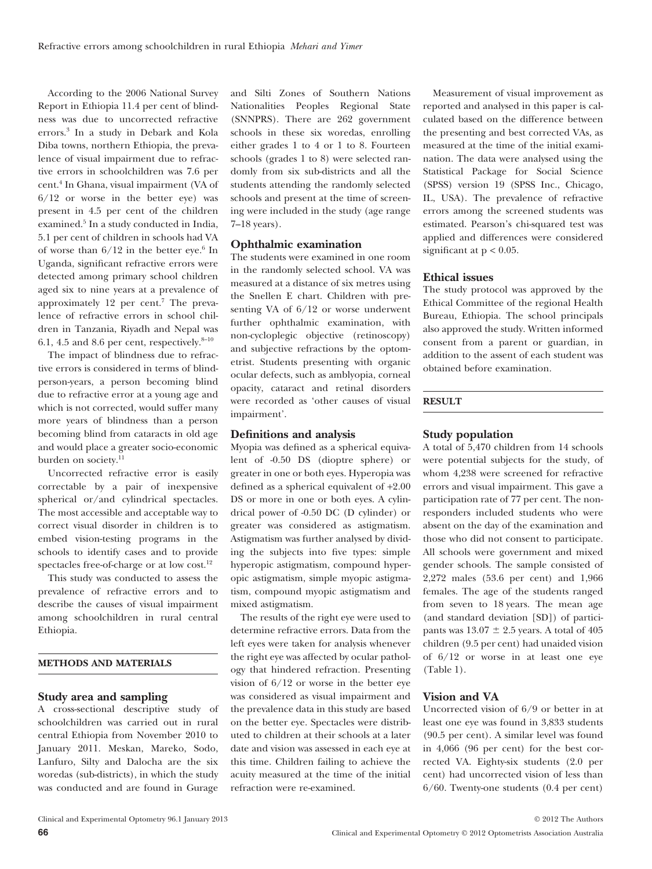According to the 2006 National Survey Report in Ethiopia 11.4 per cent of blindness was due to uncorrected refractive errors.3 In a study in Debark and Kola Diba towns, northern Ethiopia, the prevalence of visual impairment due to refractive errors in schoolchildren was 7.6 per cent.4 In Ghana, visual impairment (VA of  $6/12$  or worse in the better eye) was present in 4.5 per cent of the children examined.<sup>5</sup> In a study conducted in India, 5.1 per cent of children in schools had VA of worse than  $6/12$  in the better eye.<sup>6</sup> In Uganda, significant refractive errors were detected among primary school children aged six to nine years at a prevalence of approximately  $12$  per cent.<sup>7</sup> The prevalence of refractive errors in school children in Tanzania, Riyadh and Nepal was 6.1, 4.5 and 8.6 per cent, respectively. $8-10$ 

The impact of blindness due to refractive errors is considered in terms of blindperson-years, a person becoming blind due to refractive error at a young age and which is not corrected, would suffer many more years of blindness than a person becoming blind from cataracts in old age and would place a greater socio-economic burden on society.<sup>11</sup>

Uncorrected refractive error is easily correctable by a pair of inexpensive spherical or/and cylindrical spectacles. The most accessible and acceptable way to correct visual disorder in children is to embed vision-testing programs in the schools to identify cases and to provide spectacles free-of-charge or at low cost.<sup>12</sup>

This study was conducted to assess the prevalence of refractive errors and to describe the causes of visual impairment among schoolchildren in rural central Ethiopia.

#### **METHODS AND MATERIALS**

#### **Study area and sampling**

A cross-sectional descriptive study of schoolchildren was carried out in rural central Ethiopia from November 2010 to January 2011. Meskan, Mareko, Sodo, Lanfuro, Silty and Dalocha are the six woredas (sub-districts), in which the study was conducted and are found in Gurage and Silti Zones of Southern Nations Nationalities Peoples Regional State (SNNPRS). There are 262 government schools in these six woredas, enrolling either grades 1 to 4 or 1 to 8. Fourteen schools (grades 1 to 8) were selected randomly from six sub-districts and all the students attending the randomly selected schools and present at the time of screening were included in the study (age range 7–18 years).

# **Ophthalmic examination**

The students were examined in one room in the randomly selected school. VA was measured at a distance of six metres using the Snellen E chart. Children with presenting VA of 6/12 or worse underwent further ophthalmic examination, with non-cycloplegic objective (retinoscopy) and subjective refractions by the optometrist. Students presenting with organic ocular defects, such as amblyopia, corneal opacity, cataract and retinal disorders were recorded as 'other causes of visual impairment'.

### **Definitions and analysis**

Myopia was defined as a spherical equivalent of -0.50 DS (dioptre sphere) or greater in one or both eyes. Hyperopia was defined as a spherical equivalent of +2.00 DS or more in one or both eyes. A cylindrical power of -0.50 DC (D cylinder) or greater was considered as astigmatism. Astigmatism was further analysed by dividing the subjects into five types: simple hyperopic astigmatism, compound hyperopic astigmatism, simple myopic astigmatism, compound myopic astigmatism and mixed astigmatism.

The results of the right eye were used to determine refractive errors. Data from the left eyes were taken for analysis whenever the right eye was affected by ocular pathology that hindered refraction. Presenting vision of 6/12 or worse in the better eye was considered as visual impairment and the prevalence data in this study are based on the better eye. Spectacles were distributed to children at their schools at a later date and vision was assessed in each eye at this time. Children failing to achieve the acuity measured at the time of the initial refraction were re-examined.

Measurement of visual improvement as reported and analysed in this paper is calculated based on the difference between the presenting and best corrected VAs, as measured at the time of the initial examination. The data were analysed using the Statistical Package for Social Science (SPSS) version 19 (SPSS Inc., Chicago, IL, USA). The prevalence of refractive errors among the screened students was estimated. Pearson's chi-squared test was applied and differences were considered significant at  $p < 0.05$ .

#### **Ethical issues**

The study protocol was approved by the Ethical Committee of the regional Health Bureau, Ethiopia. The school principals also approved the study. Written informed consent from a parent or guardian, in addition to the assent of each student was obtained before examination.

### **RESULT**

### **Study population**

A total of 5,470 children from 14 schools were potential subjects for the study, of whom 4,238 were screened for refractive errors and visual impairment. This gave a participation rate of 77 per cent. The nonresponders included students who were absent on the day of the examination and those who did not consent to participate. All schools were government and mixed gender schools. The sample consisted of 2,272 males (53.6 per cent) and 1,966 females. The age of the students ranged from seven to 18 years. The mean age (and standard deviation [SD]) of participants was  $13.07 \pm 2.5$  years. A total of 405 children (9.5 per cent) had unaided vision of 6/12 or worse in at least one eye (Table 1).

### **Vision and VA**

Uncorrected vision of 6/9 or better in at least one eye was found in 3,833 students (90.5 per cent). A similar level was found in 4,066 (96 per cent) for the best corrected VA. Eighty-six students (2.0 per cent) had uncorrected vision of less than 6/60. Twenty-one students (0.4 per cent)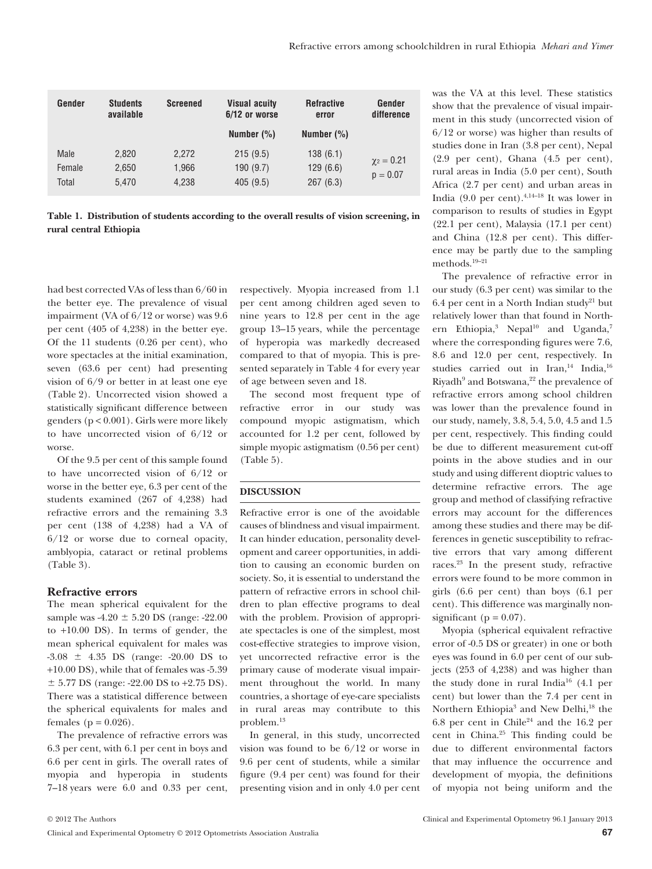| Gender                  | <b>Students</b><br>available | <b>Screened</b>         | <b>Visual acuity</b><br>6/12 or worse | <b>Refractive</b><br>error       | Gender<br>difference            |
|-------------------------|------------------------------|-------------------------|---------------------------------------|----------------------------------|---------------------------------|
|                         |                              |                         | Number $(\%)$                         | Number $(\%)$                    |                                 |
| Male<br>Female<br>Total | 2.820<br>2,650<br>5.470      | 2.272<br>1,966<br>4.238 | 215(9.5)<br>190(9.7)<br>405(9.5)      | 138(6.1)<br>129(6.6)<br>267(6.3) | $\gamma_2 = 0.21$<br>$p = 0.07$ |

| Table 1. Distribution of students according to the overall results of vision screening, in |
|--------------------------------------------------------------------------------------------|
| rural central Ethiopia                                                                     |

had best corrected VAs of less than 6/60 in the better eye. The prevalence of visual impairment (VA of 6/12 or worse) was 9.6 per cent (405 of 4,238) in the better eye. Of the 11 students (0.26 per cent), who wore spectacles at the initial examination, seven (63.6 per cent) had presenting vision of 6/9 or better in at least one eye (Table 2). Uncorrected vision showed a statistically significant difference between genders (p < 0.001). Girls were more likely to have uncorrected vision of 6/12 or worse.

Of the 9.5 per cent of this sample found to have uncorrected vision of 6/12 or worse in the better eye, 6.3 per cent of the students examined (267 of 4,238) had refractive errors and the remaining 3.3 per cent (138 of 4,238) had a VA of 6/12 or worse due to corneal opacity, amblyopia, cataract or retinal problems (Table 3).

## **Refractive errors**

The mean spherical equivalent for the sample was -4.20  $\pm$  5.20 DS (range: -22.00 to +10.00 DS). In terms of gender, the mean spherical equivalent for males was  $-3.08 \pm 4.35$  DS (range:  $-20.00$  DS to +10.00 DS), while that of females was -5.39  $\pm$  5.77 DS (range: -22.00 DS to +2.75 DS). There was a statistical difference between the spherical equivalents for males and females ( $p = 0.026$ ).

The prevalence of refractive errors was 6.3 per cent, with 6.1 per cent in boys and 6.6 per cent in girls. The overall rates of myopia and hyperopia in students 7–18 years were 6.0 and 0.33 per cent,

respectively. Myopia increased from 1.1 per cent among children aged seven to nine years to 12.8 per cent in the age group 13–15 years, while the percentage of hyperopia was markedly decreased compared to that of myopia. This is presented separately in Table 4 for every year of age between seven and 18.

The second most frequent type of refractive error in our study was compound myopic astigmatism, which accounted for 1.2 per cent, followed by simple myopic astigmatism (0.56 per cent) (Table 5).

#### **DISCUSSION**

Refractive error is one of the avoidable causes of blindness and visual impairment. It can hinder education, personality development and career opportunities, in addition to causing an economic burden on society. So, it is essential to understand the pattern of refractive errors in school children to plan effective programs to deal with the problem. Provision of appropriate spectacles is one of the simplest, most cost-effective strategies to improve vision, yet uncorrected refractive error is the primary cause of moderate visual impairment throughout the world. In many countries, a shortage of eye-care specialists in rural areas may contribute to this problem.13

In general, in this study, uncorrected vision was found to be 6/12 or worse in 9.6 per cent of students, while a similar figure (9.4 per cent) was found for their presenting vision and in only 4.0 per cent was the VA at this level. These statistics show that the prevalence of visual impairment in this study (uncorrected vision of 6/12 or worse) was higher than results of studies done in Iran (3.8 per cent), Nepal (2.9 per cent), Ghana (4.5 per cent), rural areas in India (5.0 per cent), South Africa (2.7 per cent) and urban areas in India (9.0 per cent).<sup>4,14–18</sup> It was lower in comparison to results of studies in Egypt (22.1 per cent), Malaysia (17.1 per cent) and China (12.8 per cent). This difference may be partly due to the sampling methods.19–21

The prevalence of refractive error in our study (6.3 per cent) was similar to the 6.4 per cent in a North Indian study<sup>21</sup> but relatively lower than that found in Northern Ethiopia,<sup>3</sup> Nepal<sup>10</sup> and Uganda,<sup>7</sup> where the corresponding figures were 7.6, 8.6 and 12.0 per cent, respectively. In studies carried out in Iran,<sup>14</sup> India,<sup>16</sup> Riyadh<sup>9</sup> and Botswana,<sup>22</sup> the prevalence of refractive errors among school children was lower than the prevalence found in our study, namely, 3.8, 5.4, 5.0, 4.5 and 1.5 per cent, respectively. This finding could be due to different measurement cut-off points in the above studies and in our study and using different dioptric values to determine refractive errors. The age group and method of classifying refractive errors may account for the differences among these studies and there may be differences in genetic susceptibility to refractive errors that vary among different races.23 In the present study, refractive errors were found to be more common in girls (6.6 per cent) than boys (6.1 per cent). This difference was marginally nonsignificant ( $p = 0.07$ ).

Myopia (spherical equivalent refractive error of -0.5 DS or greater) in one or both eyes was found in 6.0 per cent of our subjects (253 of 4,238) and was higher than the study done in rural India<sup>16</sup> (4.1 per cent) but lower than the 7.4 per cent in Northern Ethiopia<sup>3</sup> and New Delhi,<sup>18</sup> the  $6.8$  per cent in Chile<sup>24</sup> and the 16.2 per cent in China.25 This finding could be due to different environmental factors that may influence the occurrence and development of myopia, the definitions of myopia not being uniform and the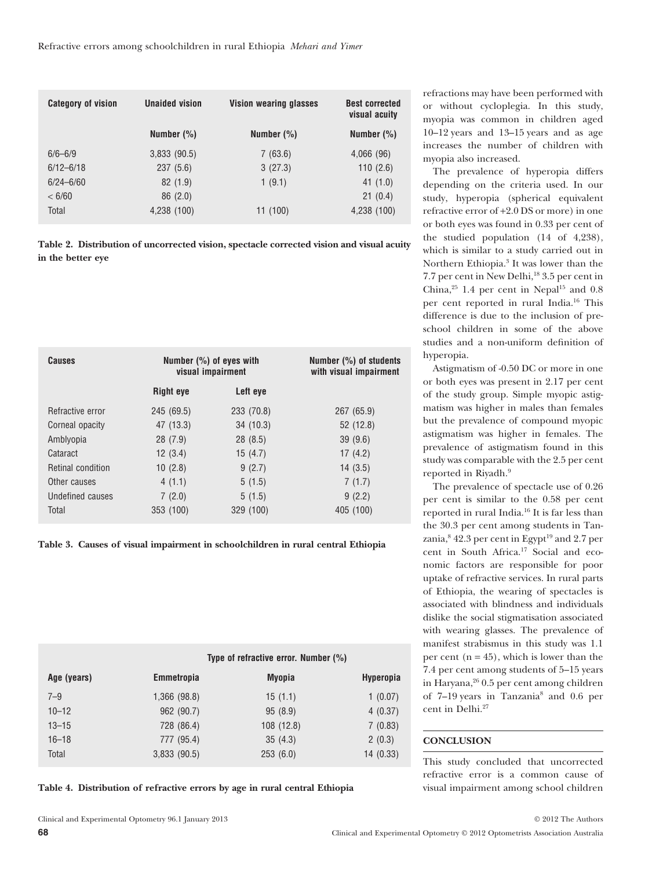| <b>Category of vision</b> | <b>Unaided vision</b> | <b>Vision wearing glasses</b> | <b>Best corrected</b><br>visual acuity |
|---------------------------|-----------------------|-------------------------------|----------------------------------------|
|                           | Number $(\% )$        | Number (%)                    | Number $(\% )$                         |
| $6/6 - 6/9$               | 3,833(90.5)           | 7(63.6)                       | 4,066 (96)                             |
| $6/12 - 6/18$             | 237(5.6)              | 3(27.3)                       | 110(2.6)                               |
| $6/24 - 6/60$             | 82(1.9)               | 1(9.1)                        | 41 (1.0)                               |
| < 6/60                    | 86(2.0)               |                               | 21(0.4)                                |
| Total                     | 4,238 (100)           | 11 (100)                      | 4,238 (100)                            |

**Table 2. Distribution of uncorrected vision, spectacle corrected vision and visual acuity in the better eye**

| <b>Causes</b>     |                  | Number $(\%)$ of eyes with<br>visual impairment | Number $(\%)$ of students<br>with visual impairment |
|-------------------|------------------|-------------------------------------------------|-----------------------------------------------------|
|                   | <b>Right eye</b> | Left eye                                        |                                                     |
| Refractive error  | 245 (69.5)       | 233 (70.8)                                      | 267 (65.9)                                          |
| Corneal opacity   | 47 (13.3)        | 34(10.3)                                        | 52 (12.8)                                           |
| Amblyopia         | 28(7.9)          | 28(8.5)                                         | 39(9.6)                                             |
| Cataract          | 12(3.4)          | 15(4.7)                                         | 17(4.2)                                             |
| Retinal condition | 10(2.8)          | 9(2.7)                                          | 14 (3.5)                                            |
| Other causes      | 4(1.1)           | 5(1.5)                                          | 7(1.7)                                              |
| Undefined causes  | 7(2.0)           | 5(1.5)                                          | 9(2.2)                                              |
| Total             | 353 (100)        | 329 (100)                                       | 405 (100)                                           |

**Table 3. Causes of visual impairment in schoolchildren in rural central Ethiopia**

| Type of refractive error. Number $(\%)$ |  |  |
|-----------------------------------------|--|--|
|                                         |  |  |

| Age (years) | <b>Emmetropia</b> | Myopia     | <b>Hyperopia</b> |
|-------------|-------------------|------------|------------------|
| $7 - 9$     | 1,366 (98.8)      | 15(1.1)    | 1(0.07)          |
| $10 - 12$   | 962 (90.7)        | 95(8.9)    | 4(0.37)          |
| $13 - 15$   | 728 (86.4)        | 108 (12.8) | 7(0.83)          |
| $16 - 18$   | 777 (95.4)        | 35(4.3)    | 2(0.3)           |
| Total       | 3,833(90.5)       | 253(6.0)   | 14(0.33)         |

**Table 4. Distribution of refractive errors by age in rural central Ethiopia**

refractions may have been performed with or without cycloplegia. In this study, myopia was common in children aged 10–12 years and 13–15 years and as age increases the number of children with myopia also increased.

The prevalence of hyperopia differs depending on the criteria used. In our study, hyperopia (spherical equivalent refractive error of +2.0 DS or more) in one or both eyes was found in 0.33 per cent of the studied population (14 of 4,238), which is similar to a study carried out in Northern Ethiopia.<sup>3</sup> It was lower than the 7.7 per cent in New Delhi,<sup>18</sup> 3.5 per cent in China, $25$  1.4 per cent in Nepal<sup>15</sup> and 0.8 per cent reported in rural India.16 This difference is due to the inclusion of preschool children in some of the above studies and a non-uniform definition of hyperopia.

Astigmatism of -0.50 DC or more in one or both eyes was present in 2.17 per cent of the study group. Simple myopic astigmatism was higher in males than females but the prevalence of compound myopic astigmatism was higher in females. The prevalence of astigmatism found in this study was comparable with the 2.5 per cent reported in Riyadh.<sup>9</sup>

The prevalence of spectacle use of 0.26 per cent is similar to the 0.58 per cent reported in rural India.16 It is far less than the 30.3 per cent among students in Tanzania,  $8\,42.3$  per cent in Egypt<sup>19</sup> and 2.7 per cent in South Africa.17 Social and economic factors are responsible for poor uptake of refractive services. In rural parts of Ethiopia, the wearing of spectacles is associated with blindness and individuals dislike the social stigmatisation associated with wearing glasses. The prevalence of manifest strabismus in this study was 1.1 per cent  $(n = 45)$ , which is lower than the 7.4 per cent among students of 5–15 years in Haryana,<sup>26</sup> 0.5 per cent among children of 7–19 years in Tanzania8 and 0.6 per cent in Delhi.<sup>27</sup>

# **CONCLUSION**

This study concluded that uncorrected refractive error is a common cause of visual impairment among school children